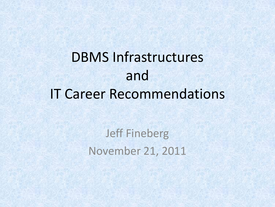# DBMS Infrastructures and IT Career Recommendations

Jeff Fineberg November 21, 2011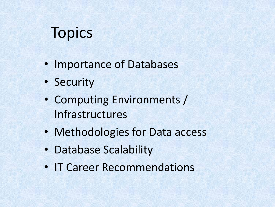# **Topics**

- Importance of Databases
- Security
- Computing Environments / Infrastructures
- Methodologies for Data access
- Database Scalability
- IT Career Recommendations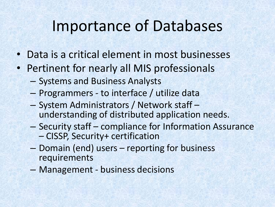#### Importance of Databases

- Data is a critical element in most businesses
- Pertinent for nearly all MIS professionals
	- Systems and Business Analysts
	- Programmers to interface / utilize data
	- System Administrators / Network staff understanding of distributed application needs.
	- Security staff compliance for Information Assurance – CISSP, Security+ certification
	- Domain (end) users reporting for business requirements
	- Management business decisions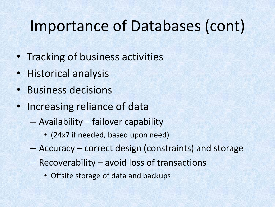# Importance of Databases (cont)

- Tracking of business activities
- Historical analysis
- Business decisions
- Increasing reliance of data
	- Availability failover capability
		- (24x7 if needed, based upon need)
	- Accuracy correct design (constraints) and storage
	- Recoverability avoid loss of transactions
		- Offsite storage of data and backups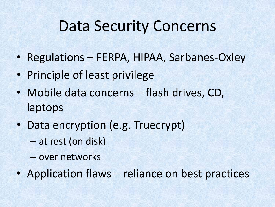## Data Security Concerns

- Regulations FERPA, HIPAA, Sarbanes-Oxley
- Principle of least privilege
- Mobile data concerns flash drives, CD, laptops
- Data encryption (e.g. Truecrypt)
	- at rest (on disk)
	- over networks
- Application flaws reliance on best practices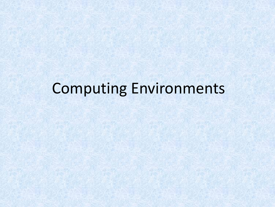# Computing Environments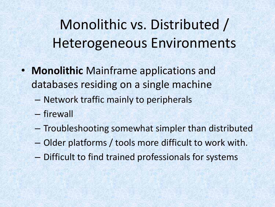# Monolithic vs. Distributed / Heterogeneous Environments

- **Monolithic** Mainframe applications and databases residing on a single machine
	- Network traffic mainly to peripherals
	- firewall
	- Troubleshooting somewhat simpler than distributed
	- Older platforms / tools more difficult to work with.
	- Difficult to find trained professionals for systems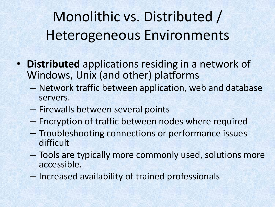Monolithic vs. Distributed / Heterogeneous Environments

- **Distributed** applications residing in a network of Windows, Unix (and other) platforms
	- Network traffic between application, web and database servers.
	- Firewalls between several points
	- Encryption of traffic between nodes where required
	- Troubleshooting connections or performance issues difficult
	- Tools are typically more commonly used, solutions more accessible.
	- Increased availability of trained professionals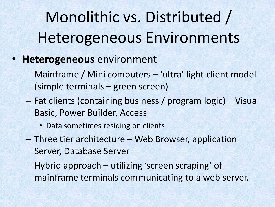Monolithic vs. Distributed / Heterogeneous Environments

- **Heterogeneous** environment
	- Mainframe / Mini computers 'ultra' light client model (simple terminals – green screen)
	- Fat clients (containing business / program logic) Visual Basic, Power Builder, Access
		- Data sometimes residing on clients
	- Three tier architecture Web Browser, application Server, Database Server
	- Hybrid approach utilizing 'screen scraping' of mainframe terminals communicating to a web server.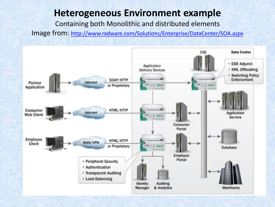#### **Heterogeneous Environment example**

Containing both Monolithic and distributed elements

Image from: <http://www.radware.com/Solutions/Enterprise/DataCenter/SOA.aspx>

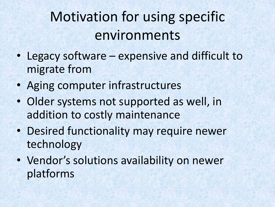# Motivation for using specific environments

- Legacy software expensive and difficult to migrate from
- Aging computer infrastructures
- Older systems not supported as well, in addition to costly maintenance
- Desired functionality may require newer technology
- Vendor's solutions availability on newer platforms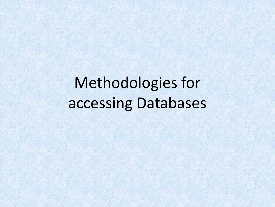Methodologies for accessing Databases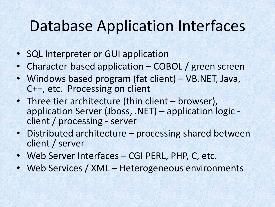# Database Application Interfaces

- SQL Interpreter or GUI application
- Character-based application COBOL / green screen
- Windows based program (fat client) VB.NET, Java, C++, etc. Processing on client
- Three tier architecture (thin client browser), application Server (Jboss, .NET) – application logic client / processing - server
- Distributed architecture processing shared between client / server
- Web Server Interfaces CGI PERL, PHP, C, etc.
- Web Services / XML Heterogeneous environments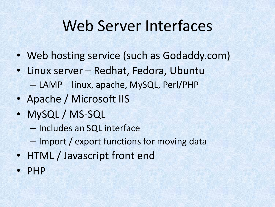## Web Server Interfaces

- Web hosting service (such as Godaddy.com)
- Linux server Redhat, Fedora, Ubuntu
	- LAMP linux, apache, MySQL, Perl/PHP
- Apache / Microsoft IIS
- MySQL / MS-SQL
	- Includes an SQL interface
	- Import / export functions for moving data
- HTML / Javascript front end
- PHP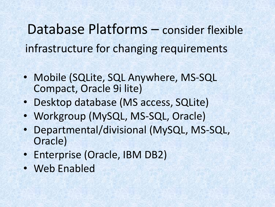Database Platforms – consider flexible infrastructure for changing requirements

- Mobile (SQLite, SQL Anywhere, MS-SQL Compact, Oracle 9i lite)
- Desktop database (MS access, SQLite)
- Workgroup (MySQL, MS-SQL, Oracle)
- Departmental/divisional (MySQL, MS-SQL, Oracle)
- Enterprise (Oracle, IBM DB2)
- Web Enabled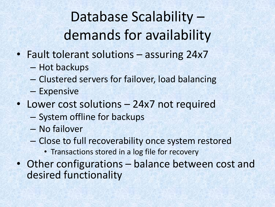Database Scalability – demands for availability

- Fault tolerant solutions assuring 24x7
	- Hot backups
	- Clustered servers for failover, load balancing
	- Expensive
- Lower cost solutions 24x7 not required
	- System offline for backups
	- No failover
	- Close to full recoverability once system restored
		- Transactions stored in a log file for recovery
- Other configurations balance between cost and desired functionality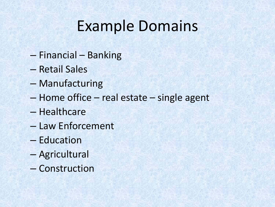# Example Domains

- Financial Banking
- Retail Sales
- Manufacturing
- Home office real estate single agent
- Healthcare
- Law Enforcement
- Education
- Agricultural
- Construction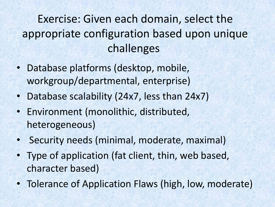#### Exercise: Given each domain, select the appropriate configuration based upon unique challenges

- Database platforms (desktop, mobile, workgroup/departmental, enterprise)
- Database scalability (24x7, less than 24x7)
- Environment (monolithic, distributed, heterogeneous)
- Security needs (minimal, moderate, maximal)
- Type of application (fat client, thin, web based, character based)
- Tolerance of Application Flaws (high, low, moderate)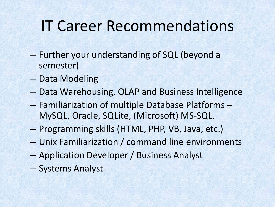# IT Career Recommendations

- Further your understanding of SQL (beyond a semester)
- Data Modeling
- Data Warehousing, OLAP and Business Intelligence
- Familiarization of multiple Database Platforms MySQL, Oracle, SQLite, (Microsoft) MS-SQL.
- Programming skills (HTML, PHP, VB, Java, etc.)
- Unix Familiarization / command line environments
- Application Developer / Business Analyst
- Systems Analyst